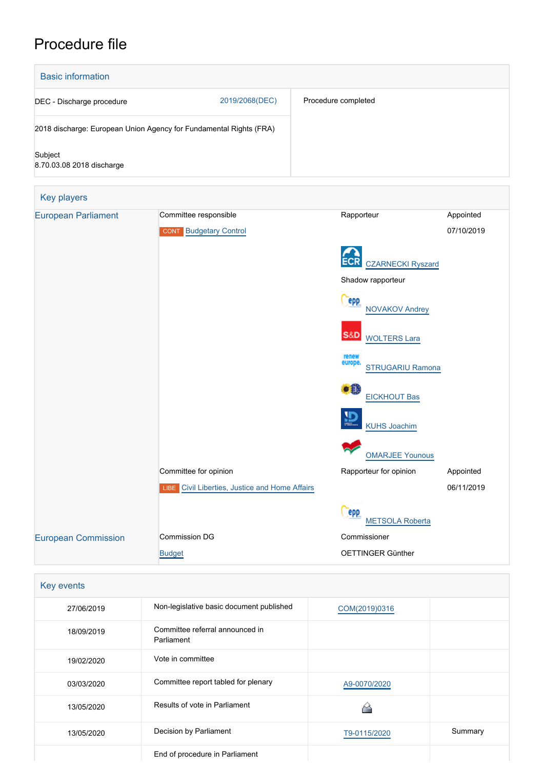# Procedure file



| Key events |                                               |               |         |
|------------|-----------------------------------------------|---------------|---------|
| 27/06/2019 | Non-legislative basic document published      | COM(2019)0316 |         |
| 18/09/2019 | Committee referral announced in<br>Parliament |               |         |
| 19/02/2020 | Vote in committee                             |               |         |
| 03/03/2020 | Committee report tabled for plenary           | A9-0070/2020  |         |
| 13/05/2020 | Results of vote in Parliament                 |               |         |
| 13/05/2020 | Decision by Parliament                        | T9-0115/2020  | Summary |
|            | End of procedure in Parliament                |               |         |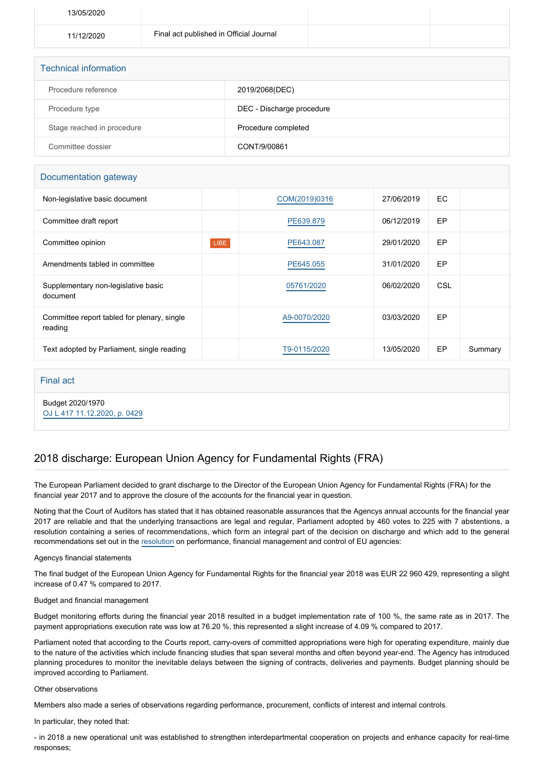| 13/05/2020 |                                         |  |
|------------|-----------------------------------------|--|
| 11/12/2020 | Final act published in Official Journal |  |
|            |                                         |  |

| <b>Technical information</b> |                           |  |  |  |  |
|------------------------------|---------------------------|--|--|--|--|
| Procedure reference          | 2019/2068(DEC)            |  |  |  |  |
| Procedure type               | DEC - Discharge procedure |  |  |  |  |
| Stage reached in procedure   | Procedure completed       |  |  |  |  |
| Committee dossier            | CONT/9/00861              |  |  |  |  |

## Documentation gateway

| Non-legislative basic document                         |      | COM(2019)0316 | 27/06/2019 | EC. |         |
|--------------------------------------------------------|------|---------------|------------|-----|---------|
| Committee draft report                                 |      | PE639.879     | 06/12/2019 | EP  |         |
| Committee opinion                                      | LIBE | PE643.087     | 29/01/2020 | EP  |         |
| Amendments tabled in committee                         |      | PE645.055     | 31/01/2020 | EP  |         |
| Supplementary non-legislative basic<br>document        |      | 05761/2020    | 06/02/2020 | CSL |         |
| Committee report tabled for plenary, single<br>reading |      | A9-0070/2020  | 03/03/2020 | EP  |         |
| Text adopted by Parliament, single reading             |      | T9-0115/2020  | 13/05/2020 | EP  | Summary |

### Final act

Budget 2020/1970 [OJ L 417 11.12.2020, p. 0429](https://eur-lex.europa.eu/legal-content/EN/TXT/?uri=OJ:L:2020:417:TOC)

# 2018 discharge: European Union Agency for Fundamental Rights (FRA)

The European Parliament decided to grant discharge to the Director of the European Union Agency for Fundamental Rights (FRA) for the financial year 2017 and to approve the closure of the accounts for the financial year in question.

Noting that the Court of Auditors has stated that it has obtained reasonable assurances that the Agencys annual accounts for the financial year 2017 are reliable and that the underlying transactions are legal and regular, Parliament adopted by 460 votes to 225 with 7 abstentions, a resolution containing a series of recommendations, which form an integral part of the decision on discharge and which add to the general recommendations set out in the [resolution](https://oeil.secure.europarl.europa.eu/oeil/popups/ficheprocedure.do?lang=en&reference=2019/2098(DEC)) on performance, financial management and control of EU agencies:

### Agencys financial statements

The final budget of the European Union Agency for Fundamental Rights for the financial year 2018 was EUR 22 960 429, representing a slight increase of 0.47 % compared to 2017.

### Budget and financial management

Budget monitoring efforts during the financial year 2018 resulted in a budget implementation rate of 100 %, the same rate as in 2017. The payment appropriations execution rate was low at 76.20 %, this represented a slight increase of 4.09 % compared to 2017.

Parliament noted that according to the Courts report, carry-overs of committed appropriations were high for operating expenditure, mainly due to the nature of the activities which include financing studies that span several months and often beyond year-end. The Agency has introduced planning procedures to monitor the inevitable delays between the signing of contracts, deliveries and payments. Budget planning should be improved according to Parliament.

#### Other observations

Members also made a series of observations regarding performance, procurement, conflicts of interest and internal controls.

In particular, they noted that:

- in 2018 a new operational unit was established to strengthen interdepartmental cooperation on projects and enhance capacity for real-time responses;